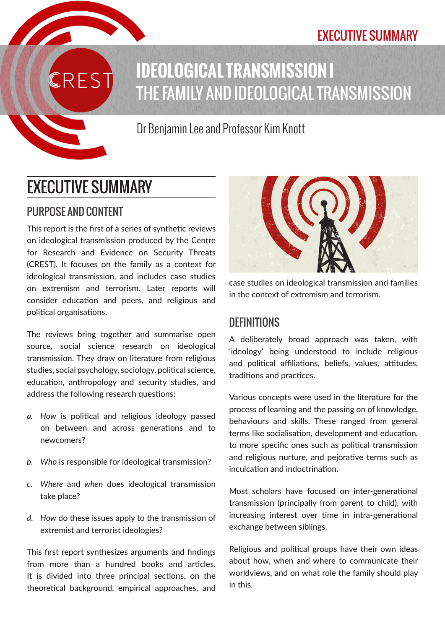## EXECUTIVE SUMMARY



Dr Benjamin Lee and Professor Kim Knott

# EXECUTIVE SUMMARY

## PURPOSE AND CONTENT

This report is the first of a series of synthetic reviews on ideological transmission produced by the Centre for Research and Evidence on Security Threats (CREST). It focuses on the family as a context for ideological transmission, and includes case studies on extremism and terrorism. Later reports will consider education and peers, and religious and political organisations.

The reviews bring together and summarise open source, social science research on ideological transmission. They draw on literature from religious studies, social psychology, sociology, political science, education, anthropology and security studies, and address the following research questions:

- *a. How* is political and religious ideology passed on between and across generations and to newcomers?
- *b. Who* is responsible for ideological transmission?
- *c. Where* and *when* does ideological transmission take place?
- *d. How* do these issues apply to the transmission of extremist and terrorist ideologies?

This first report synthesizes arguments and findings from more than a hundred books and articles. It is divided into three principal sections, on the theoretical background, empirical approaches, and



case studies on ideological transmission and families in the context of extremism and terrorism.

#### **DEFINITIONS**

A deliberately broad approach was taken, with 'ideology' being understood to include religious and political affiliations, beliefs, values, attitudes, traditions and practices.

Various concepts were used in the literature for the process of learning and the passing on of knowledge, behaviours and skills. These ranged from general terms like socialisation, development and education, to more specific ones such as political transmission and religious nurture, and pejorative terms such as inculcation and indoctrination.

Most scholars have focused on inter-generational transmission (principally from parent to child), with increasing interest over time in intra-generational exchange between siblings.

Religious and political groups have their own ideas about how, when and where to communicate their worldviews, and on what role the family should play in this.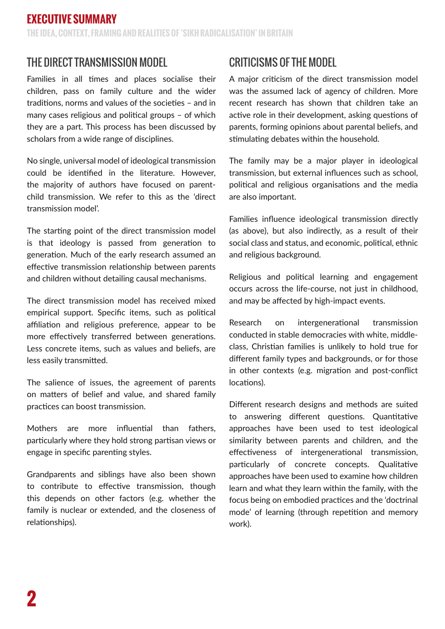## THE DIRECT TRANSMISSION MODEL

Families in all times and places socialise their children, pass on family culture and the wider traditions, norms and values of the societies – and in many cases religious and political groups – of which they are a part. This process has been discussed by scholars from a wide range of disciplines.

No single, universal model of ideological transmission could be identified in the literature. However, the majority of authors have focused on parentchild transmission. We refer to this as the 'direct transmission model'.

The starting point of the direct transmission model is that ideology is passed from generation to generation. Much of the early research assumed an effective transmission relationship between parents and children without detailing causal mechanisms.

The direct transmission model has received mixed empirical support. Specific items, such as political affiliation and religious preference, appear to be more effectively transferred between generations. Less concrete items, such as values and beliefs, are less easily transmitted.

The salience of issues, the agreement of parents on matters of belief and value, and shared family practices can boost transmission.

Mothers are more influential than fathers, particularly where they hold strong partisan views or engage in specific parenting styles.

Grandparents and siblings have also been shown to contribute to effective transmission, though this depends on other factors (e.g. whether the family is nuclear or extended, and the closeness of relationships).

## CRITICISMS OF THE MODEL

A major criticism of the direct transmission model was the assumed lack of agency of children. More recent research has shown that children take an active role in their development, asking questions of parents, forming opinions about parental beliefs, and stimulating debates within the household.

The family may be a major player in ideological transmission, but external influences such as school, political and religious organisations and the media are also important.

Families influence ideological transmission directly (as above), but also indirectly, as a result of their social class and status, and economic, political, ethnic and religious background.

Religious and political learning and engagement occurs across the life-course, not just in childhood, and may be affected by high-impact events.

Research on intergenerational transmission conducted in stable democracies with white, middleclass, Christian families is unlikely to hold true for different family types and backgrounds, or for those in other contexts (e.g. migration and post-conflict locations).

Different research designs and methods are suited to answering different questions. Quantitative approaches have been used to test ideological similarity between parents and children, and the effectiveness of intergenerational transmission, particularly of concrete concepts. Qualitative approaches have been used to examine how children learn and what they learn within the family, with the focus being on embodied practices and the 'doctrinal mode' of learning (through repetition and memory work).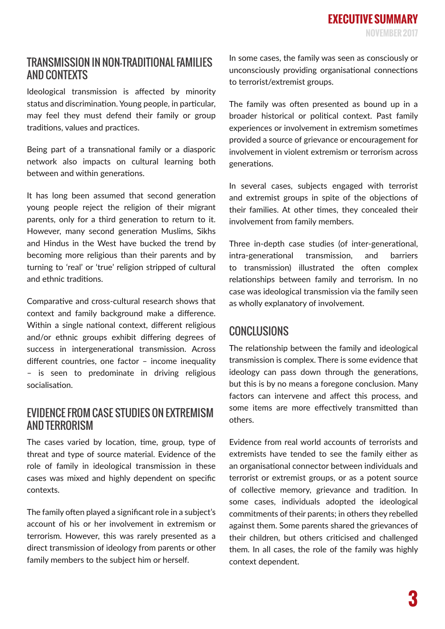#### TRANSMISSION IN NON-TRADITIONAL FAMILIES AND CONTEXTS

Ideological transmission is affected by minority status and discrimination. Young people, in particular, may feel they must defend their family or group traditions, values and practices.

Being part of a transnational family or a diasporic network also impacts on cultural learning both between and within generations.

It has long been assumed that second generation young people reject the religion of their migrant parents, only for a third generation to return to it. However, many second generation Muslims, Sikhs and Hindus in the West have bucked the trend by becoming more religious than their parents and by turning to 'real' or 'true' religion stripped of cultural and ethnic traditions.

Comparative and cross-cultural research shows that context and family background make a difference. Within a single national context, different religious and/or ethnic groups exhibit differing degrees of success in intergenerational transmission. Across different countries, one factor – income inequality – is seen to predominate in driving religious socialisation.

#### EVIDENCE FROM CASE STUDIES ON EXTREMISM AND TERRORISM

The cases varied by location, time, group, type of threat and type of source material. Evidence of the role of family in ideological transmission in these cases was mixed and highly dependent on specific contexts.

The family often played a significant role in a subject's account of his or her involvement in extremism or terrorism. However, this was rarely presented as a direct transmission of ideology from parents or other family members to the subject him or herself.

In some cases, the family was seen as consciously or unconsciously providing organisational connections to terrorist/extremist groups.

The family was often presented as bound up in a broader historical or political context. Past family experiences or involvement in extremism sometimes provided a source of grievance or encouragement for involvement in violent extremism or terrorism across generations.

In several cases, subjects engaged with terrorist and extremist groups in spite of the objections of their families. At other times, they concealed their involvement from family members.

Three in-depth case studies (of inter-generational, intra-generational transmission, and barriers to transmission) illustrated the often complex relationships between family and terrorism. In no case was ideological transmission via the family seen as wholly explanatory of involvement.

### **CONCLUSIONS**

The relationship between the family and ideological transmission is complex. There is some evidence that ideology can pass down through the generations, but this is by no means a foregone conclusion. Many factors can intervene and affect this process, and some items are more effectively transmitted than others.

Evidence from real world accounts of terrorists and extremists have tended to see the family either as an organisational connector between individuals and terrorist or extremist groups, or as a potent source of collective memory, grievance and tradition. In some cases, individuals adopted the ideological commitments of their parents; in others they rebelled against them. Some parents shared the grievances of their children, but others criticised and challenged them. In all cases, the role of the family was highly context dependent.